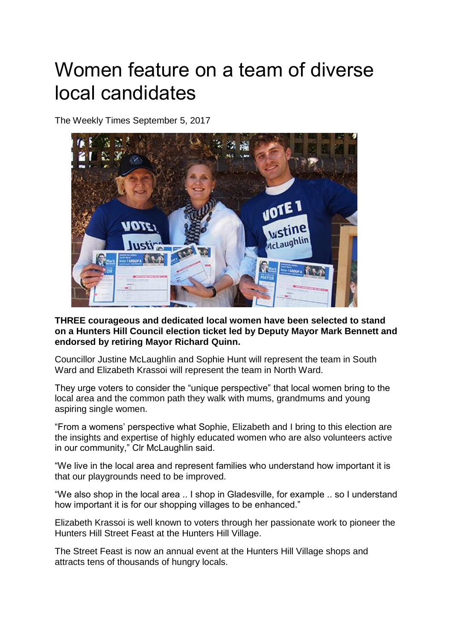## Women feature on a team of diverse local candidates

The Weekly Times September 5, 2017



**THREE courageous and dedicated local women have been selected to stand on a Hunters Hill Council election ticket led by Deputy Mayor Mark Bennett and endorsed by retiring Mayor Richard Quinn.**

Councillor Justine McLaughlin and Sophie Hunt will represent the team in South Ward and Elizabeth Krassoi will represent the team in North Ward.

They urge voters to consider the "unique perspective" that local women bring to the local area and the common path they walk with mums, grandmums and young aspiring single women.

"From a womens' perspective what Sophie, Elizabeth and I bring to this election are the insights and expertise of highly educated women who are also volunteers active in our community," Clr McLaughlin said.

"We live in the local area and represent families who understand how important it is that our playgrounds need to be improved.

"We also shop in the local area .. I shop in Gladesville, for example .. so I understand how important it is for our shopping villages to be enhanced."

Elizabeth Krassoi is well known to voters through her passionate work to pioneer the Hunters Hill Street Feast at the Hunters Hill Village.

The Street Feast is now an annual event at the Hunters Hill Village shops and attracts tens of thousands of hungry locals.